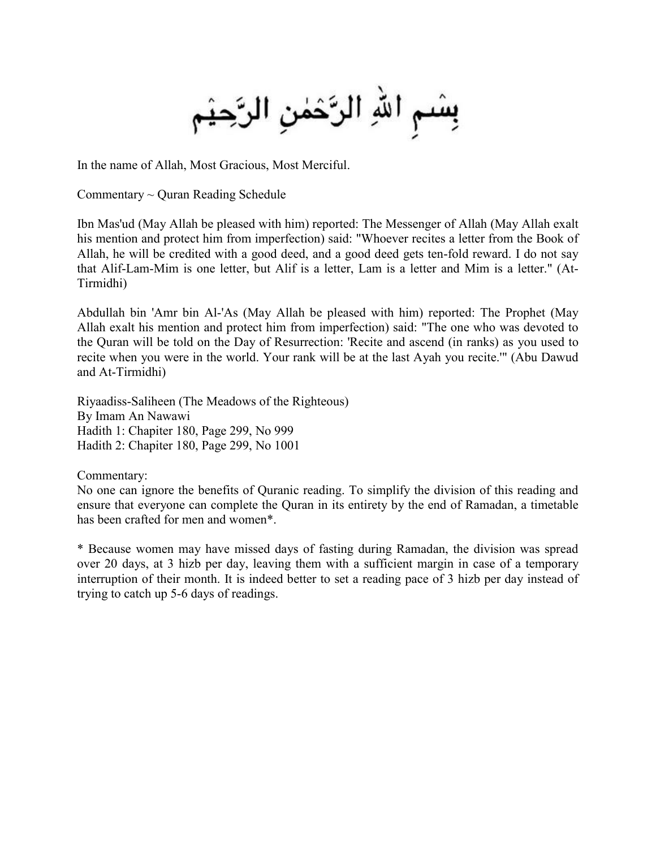بِسْمِ اللهِ الرَّحْمٰنِ الرَّحِيْمِ

In the name of Allah, Most Gracious, Most Merciful.

Commentary ~ Quran Reading Schedule

Ibn Mas'ud (May Allah be pleased with him) reported: The Messenger of Allah (May Allah exalt his mention and protect him from imperfection) said: "Whoever recites a letter from the Book of Allah, he will be credited with a good deed, and a good deed gets ten-fold reward. I do not say that Alif-Lam-Mim is one letter, but Alif is a letter, Lam is a letter and Mim is a letter." (At-Tirmidhi)

Abdullah bin 'Amr bin Al-'As (May Allah be pleased with him) reported: The Prophet (May Allah exalt his mention and protect him from imperfection) said: "The one who was devoted to the Quran will be told on the Day of Resurrection: 'Recite and ascend (in ranks) as you used to recite when you were in the world. Your rank will be at the last Ayah you recite.'" (Abu Dawud and At-Tirmidhi)

Riyaadiss-Saliheen (The Meadows of the Righteous) By Imam An Nawawi Hadith 1: Chapiter 180, Page 299, No 999 Hadith 2: Chapiter 180, Page 299, No 1001

Commentary:

No one can ignore the benefits of Quranic reading. To simplify the division of this reading and ensure that everyone can complete the Quran in its entirety by the end of Ramadan, a timetable has been crafted for men and women\*.

\* Because women may have missed days of fasting during Ramadan, the division was spread over 20 days, at 3 hizb per day, leaving them with a sufficient margin in case of a temporary interruption of their month. It is indeed better to set a reading pace of 3 hizb per day instead of trying to catch up 5-6 days of readings.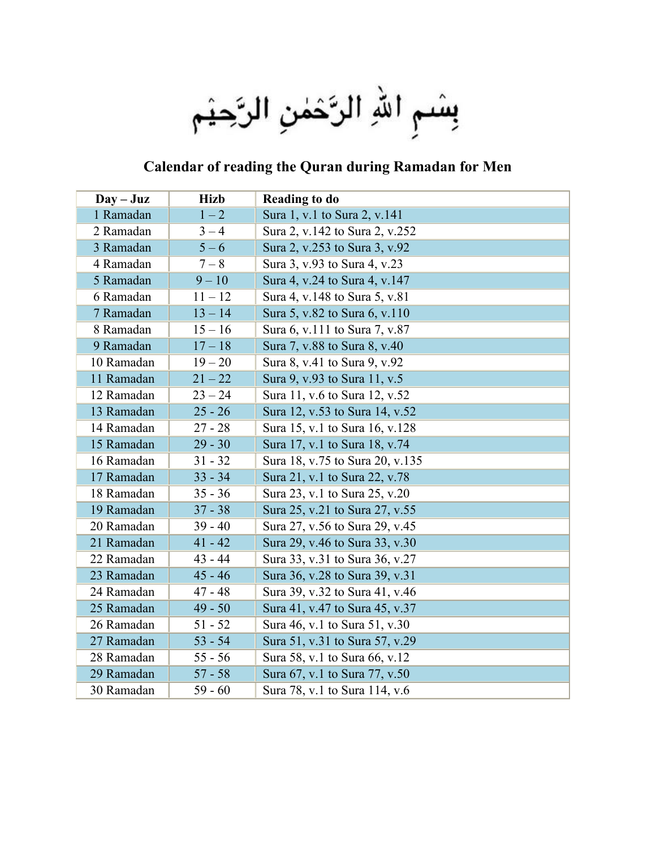بِسْمِ اللهِ الرَّحْمٰنِ الرَّحِيْمِ

## **Calendar of reading the Quran during Ramadan for Men**

| $Day - Juz$ | <b>Hizb</b> | <b>Reading to do</b>            |
|-------------|-------------|---------------------------------|
| 1 Ramadan   | $1 - 2$     | Sura 1, v.1 to Sura 2, v.141    |
| 2 Ramadan   | $3 - 4$     | Sura 2, v.142 to Sura 2, v.252  |
| 3 Ramadan   | $5 - 6$     | Sura 2, v.253 to Sura 3, v.92   |
| 4 Ramadan   | $7 - 8$     | Sura 3, v.93 to Sura 4, v.23    |
| 5 Ramadan   | $9 - 10$    | Sura 4, v.24 to Sura 4, v.147   |
| 6 Ramadan   | $11 - 12$   | Sura 4, v.148 to Sura 5, v.81   |
| 7 Ramadan   | $13 - 14$   | Sura 5, v.82 to Sura 6, v.110   |
| 8 Ramadan   | $15 - 16$   | Sura 6, v.111 to Sura 7, v.87   |
| 9 Ramadan   | $17 - 18$   | Sura 7, v.88 to Sura 8, v.40    |
| 10 Ramadan  | $19 - 20$   | Sura 8, v.41 to Sura 9, v.92    |
| 11 Ramadan  | $21 - 22$   | Sura 9, v.93 to Sura 11, v.5    |
| 12 Ramadan  | $23 - 24$   | Sura 11, v.6 to Sura 12, v.52   |
| 13 Ramadan  | $25 - 26$   | Sura 12, v.53 to Sura 14, v.52  |
| 14 Ramadan  | $27 - 28$   | Sura 15, v.1 to Sura 16, v.128  |
| 15 Ramadan  | $29 - 30$   | Sura 17, v.1 to Sura 18, v.74   |
| 16 Ramadan  | $31 - 32$   | Sura 18, v.75 to Sura 20, v.135 |
| 17 Ramadan  | $33 - 34$   | Sura 21, v.1 to Sura 22, v.78   |
| 18 Ramadan  | $35 - 36$   | Sura 23, v.1 to Sura 25, v.20   |
| 19 Ramadan  | $37 - 38$   | Sura 25, v.21 to Sura 27, v.55  |
| 20 Ramadan  | $39 - 40$   | Sura 27, v.56 to Sura 29, v.45  |
| 21 Ramadan  | $41 - 42$   | Sura 29, v.46 to Sura 33, v.30  |
| 22 Ramadan  | $43 - 44$   | Sura 33, v.31 to Sura 36, v.27  |
| 23 Ramadan  | $45 - 46$   | Sura 36, v.28 to Sura 39, v.31  |
| 24 Ramadan  | $47 - 48$   | Sura 39, v.32 to Sura 41, v.46  |
| 25 Ramadan  | $49 - 50$   | Sura 41, v.47 to Sura 45, v.37  |
| 26 Ramadan  | $51 - 52$   | Sura 46, v.1 to Sura 51, v.30   |
| 27 Ramadan  | $53 - 54$   | Sura 51, v.31 to Sura 57, v.29  |
| 28 Ramadan  | $55 - 56$   | Sura 58, v.1 to Sura 66, v.12   |
| 29 Ramadan  | $57 - 58$   | Sura 67, v.1 to Sura 77, v.50   |
| 30 Ramadan  | $59 - 60$   | Sura 78, v.1 to Sura 114, v.6   |